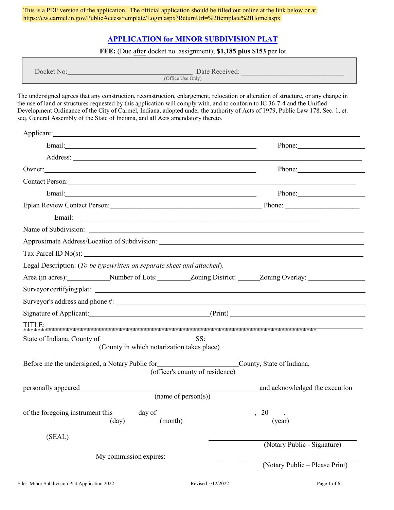## **[APPLICATION for MINOR SUBDIVISION PLAT](https://cw.carmel.in.gov/PublicAccess/template/Login.aspx?ReturnUrl=%2ftemplate%2fHome.aspx)**

#### **FEE:** (Due after docket no. assignment); **\$1,185 plus \$153** per lot

| Docket No: | Date Received:    |
|------------|-------------------|
|            | (Office Use Only) |

The undersigned agrees that any construction, reconstruction, enlargement, relocation or alteration of structure, or any change in the use of land or structures requested by this application will comply with, and to conform to IC 36-7-4 and the Unified Development Ordinance of the City of Carmel, Indiana, adopted under the authority of Acts of 1979, Public Law 178, Sec. 1, et. seq. General Assembly of the State of Indiana, and all Acts amendatory thereto.

|                                                                                                                                                                                                                                      | Phone: New York 1988           |  |  |  |
|--------------------------------------------------------------------------------------------------------------------------------------------------------------------------------------------------------------------------------------|--------------------------------|--|--|--|
|                                                                                                                                                                                                                                      |                                |  |  |  |
| Owner:                                                                                                                                                                                                                               | Phone: New York 1999           |  |  |  |
| Contact Person: 2008. Contact Person:                                                                                                                                                                                                |                                |  |  |  |
|                                                                                                                                                                                                                                      |                                |  |  |  |
|                                                                                                                                                                                                                                      |                                |  |  |  |
|                                                                                                                                                                                                                                      |                                |  |  |  |
|                                                                                                                                                                                                                                      |                                |  |  |  |
|                                                                                                                                                                                                                                      |                                |  |  |  |
|                                                                                                                                                                                                                                      |                                |  |  |  |
| Legal Description: (To be typewritten on separate sheet and attached).                                                                                                                                                               |                                |  |  |  |
| Area (in acres): Number of Lots: Zoning District: Zoning Overlay:                                                                                                                                                                    |                                |  |  |  |
|                                                                                                                                                                                                                                      |                                |  |  |  |
|                                                                                                                                                                                                                                      |                                |  |  |  |
| Signature of Applicant: (Print) (Print)                                                                                                                                                                                              |                                |  |  |  |
| TITLE:                                                                                                                                                                                                                               |                                |  |  |  |
| State of Indiana, County of SS:                                                                                                                                                                                                      |                                |  |  |  |
| (County in which notarization takes place)                                                                                                                                                                                           |                                |  |  |  |
| Before me the undersigned, a Notary Public for<br>County, State of Indiana,<br>(officer's county of residence)                                                                                                                       |                                |  |  |  |
| personally appeared <b>the contract of the contract of the contract of the contract of the contract of the contract of the contract of the contract of the contract of the contract of the contract of the contract of the contr</b> | and acknowledged the execution |  |  |  |
| (name of person $(s)$ )                                                                                                                                                                                                              |                                |  |  |  |
|                                                                                                                                                                                                                                      |                                |  |  |  |
| (month)<br>(day)                                                                                                                                                                                                                     | (year)                         |  |  |  |
| (SEAL)                                                                                                                                                                                                                               |                                |  |  |  |
|                                                                                                                                                                                                                                      | (Notary Public - Signature)    |  |  |  |
| My commission expires:                                                                                                                                                                                                               |                                |  |  |  |
|                                                                                                                                                                                                                                      | (Notary Public - Please Print) |  |  |  |
|                                                                                                                                                                                                                                      |                                |  |  |  |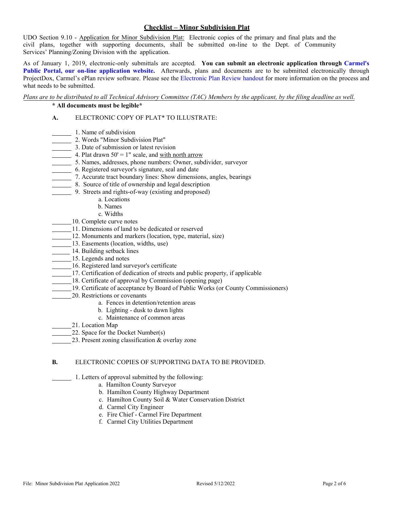### **Checklist – Minor Subdivision Plat**

UDO Section 9.10 - Application for Minor Subdivision Plat: Electronic copies of the primary and final plats and the civil plans, together with supporting documents, shall be submitted on-line to the Dept. of Community Services' Planning/Zoning Division with the application.

As of January 1, 2019, electronic-only submittals are accepted. **You can submit an electronic application through Carmel's [Public Portal, our on-line application website](https://cw.carmel.in.gov/PublicAccess/template/Login.aspx?ReturnUrl=%2ftemplate%2fHome.aspx).** Afterwards, plans and documents are to be submitted electronically through ProjectDox, Carmel's ePlan review software. Please see the [Electronic Plan Review handout](https://www.carmel.in.gov/home/showpublisheddocument?id=13285) for more information on the process and what needs to be submitted.

# *Plans are to be distributed to all Technical Advisory Committee (TAC) Members by the applicant, by the filing deadline as well*.

## **\* All documents must be legible\***

## **A.** ELECTRONIC COPY OF PLAT\* TO ILLUSTRATE:

- 1. Name of subdivision
- 2. Words "Minor Subdivision Plat"
- 3. Date of submission or latest revision
- 4. Plat drawn  $50' = 1$ " scale, and with north arrow
- 5. Names, addresses, phone numbers:  $\overline{\text{Owner}}$ , subdivider, surveyor
- 6. Registered surveyor's signature, seal and date
- 7. Accurate tract boundary lines: Show dimensions, angles, bearings
- 8. Source of title of ownership and legal description
- 9. Streets and rights-of-way (existing and proposed)
	- a. Locations
	- b. Names
	- c. Widths
- 10. Complete curve notes
- 11. Dimensions of land to be dedicated or reserved
- 12. Monuments and markers (location, type, material, size)
- 13. Easements (location, widths, use)
- 14. Building setback lines
- 15. Legends and notes
- 16. Registered land surveyor's certificate
- 17. Certification of dedication of streets and public property, if applicable
- 18. Certificate of approval by Commission (opening page)
- 19. Certificate of acceptance by Board of Public Works (or County Commissioners)
- 20. Restrictions or covenants
	- a. Fences in detention/retention areas
	- b. Lighting dusk to dawn lights
	- c. Maintenance of common areas
- 21. Location Map
	- 22. Space for the Docket Number(s)
		- 23. Present zoning classification & overlay zone

### **B.** ELECTRONIC COPIES OF SUPPORTING DATA TO BE PROVIDED.

- 1. Letters of approval submitted by the following:
	- a. Hamilton County Surveyor
	- b. Hamilton County Highway Department
	- c. Hamilton County Soil & Water Conservation District
	- d. Carmel City Engineer
	- e. Fire Chief Carmel Fire Department
	- f. Carmel City Utilities Department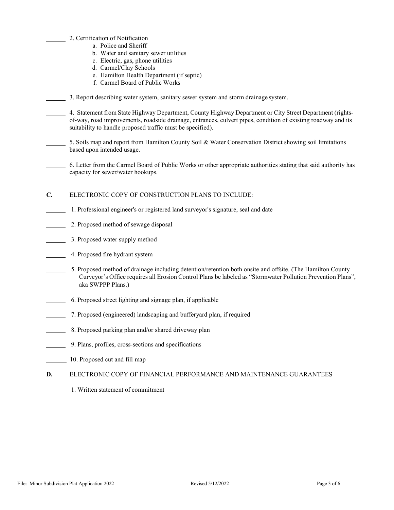- 2. Certification of Notification
	- a. Police and Sheriff
	- b. Water and sanitary sewer utilities
	- c. Electric, gas, phone utilities
	- d. Carmel/Clay Schools
	- e. Hamilton Health Department (if septic)
	- f. Carmel Board of Public Works

3. Report describing water system, sanitary sewer system and storm drainage system.

4. Statement from State Highway Department, County Highway Department or City Street Department (rightsof-way, road improvements, roadside drainage, entrances, culvert pipes, condition of existing roadway and its suitability to handle proposed traffic must be specified).

5. Soils map and report from Hamilton County Soil & Water Conservation District showing soil limitations based upon intended usage.

6. Letter from the Carmel Board of Public Works or other appropriate authorities stating that said authority has capacity for sewer/water hookups.

**C.** ELECTRONIC COPY OF CONSTRUCTION PLANS TO INCLUDE:

- 1. Professional engineer's or registered land surveyor's signature, seal and date
- 2. Proposed method of sewage disposal
- **3. Proposed water supply method**
- 4. Proposed fire hydrant system
	- 5. Proposed method of drainage including detention/retention both onsite and offsite. (The Hamilton County Curveyor's Office requires all Erosion Control Plans be labeled as "Stormwater Pollution Prevention Plans", aka SWPPP Plans.)
- 6. Proposed street lighting and signage plan, if applicable
- 7. Proposed (engineered) landscaping and bufferyard plan, if required
- 8. Proposed parking plan and/or shared driveway plan
- 9. Plans, profiles, cross-sections and specifications
- 10. Proposed cut and fill map
- **D.** ELECTRONIC COPY OF FINANCIAL PERFORMANCE AND MAINTENANCE GUARANTEES
	- 1. Written statement of commitment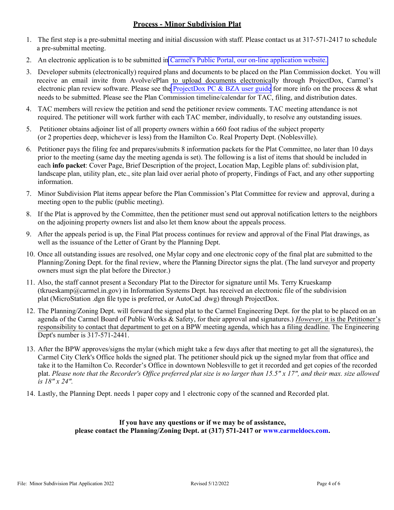## **Process - Minor Subdivision Plat**

- 1. The first step is a pre-submittal meeting and initial discussion with staff. Please contact us at 317-571-2417 to schedule a pre-submittal meeting.
- 2. An electronic application is to be submitted in [Carmel's Public Portal, our on-line application website.](https://cw.carmel.in.gov/PublicAccess/template/Login.aspx?ReturnUrl=%2ftemplate%2fHome.aspx)
- 3. Developer submits (electronically) required plans and documents to be placed on the Plan Commission docket. You will receive an email invite from Avolve/ePlan to upload documents electronically through ProjectDox, Carmel's electronic plan review software. Please see the [ProjectDox PC & BZA user guide](https://www.carmel.in.gov/home/showpublisheddocument?id=13285) for more info on the process & what needs to be submitted. Please see the Plan Commission timeline/calendar for TAC, filing, and distribution dates.
- 4. TAC members will review the petition and send the petitioner review comments. TAC meeting attendance is notrequired. The petitioner will work further with each TAC member, individually, to resolve any outstanding issues.
- 5. Petitioner obtains adjoiner list of all property owners within a 660 foot radius of the subject property (or 2 properties deep, whichever is less) from the Hamilton Co. Real Property Dept. (Noblesville).
- 6. Petitioner pays the filing fee and prepares/submits 8 information packets for the Plat Committee, no later than 10 days prior to the meeting (same day the meeting agenda is set). The following is a list of items that should be included in each **info packet**: Cover Page, Brief Description of the project, Location Map, Legible plans of: subdivision plat, landscape plan, utility plan, etc., site plan laid over aerial photo of property, Findings of Fact, and any other supporting information.
- 7. Minor Subdivision Plat items appear before the Plan Commission's Plat Committee for review and approval, during a meeting open to the public (public meeting).
- 8. If the Plat is approved by the Committee, then the petitioner must send out approval notification letters to the neighbors on the adjoining property owners list and also let them know about the appeals process.
- 9. After the appeals period is up, the Final Plat process continues for review and approval of the Final Plat drawings, as well as the issuance of the Letter of Grant by the Planning Dept.
- 10. Once all outstanding issues are resolved, one Mylar copy and one electronic copy of the final plat are submitted to the Planning/Zoning Dept. for the final review, where the Planning Director signs the plat. (The land surveyor and property owners must sign the plat before the Director.)
- 11. Also, the staff cannot present a Secondary Plat to the Director for signature until Ms. Terry Krueskamp (tkrueskamp@carmel.in.gov) in Information Systems Dept. has received an electronic file of the subdivision plat (MicroStation .dgn file type is preferred, or AutoCad .dwg) through ProjectDox.
- 12. The Planning/Zoning Dept. will forward the signed plat to the Carmel Engineering Dept. for the plat to be placed on an agenda of the Carmel Board of Public Works & Safety, for their approval and signatures.) *However,* it is the Petitioner's responsibility to contact that department to get on a BPW meeting agenda, which has a filing deadline. The Engineering Dept's number is 317-571-2441.
- 13. After the BPW approves/signs the mylar (which might take a few days after that meeting to get all the signatures), the Carmel City Clerk's Office holds the signed plat. The petitioner should pick up the signed mylar from that office and take it to the Hamilton Co. Recorder's Office in downtown Noblesville to get it recorded and get copies of the recorded plat. *Please note that the Recorder's Office preferred plat size is no larger than 15.5" x 17", and their max. size allowed is 18" x 24".*
- 14. Lastly, the Planning Dept. needs 1 paper copy and 1 electronic copy of the scanned and Recorded plat.

## **If you have any questions or if we may be of assistance, please contact the Planning/Zoning Dept. at (317) 571-2417 or [www.carmeldocs.com.](http://www.carmeldocs.com/)**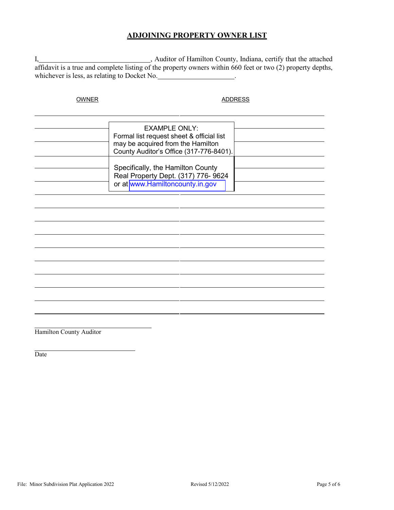## **ADJOINING PROPERTY OWNER LIST**

I, 1. 1. The attached meta-controller meta-controller meta-controller meta-controller meta-controller meta-controller meta-controller meta-controller meta-controller meta-controller meta-controller meta-controller meta-con affidavit is a true and complete listing of the property owners within 660 feet or two (2) property depths, whichever is less, as relating to Docket No. .

## OWNER ADDRESS

| EXAMPLE ONLY:<br>Formal list request sheet & official list<br>may be acquired from the Hamilton<br>County Auditor's Office (317-776-8401). |  |
|--------------------------------------------------------------------------------------------------------------------------------------------|--|
| Specifically, the Hamilton County<br>Real Property Dept. (317) 776- 9624<br>or at www.Hamiltoncounty.in.gov                                |  |

Hamilton County Auditor

Date